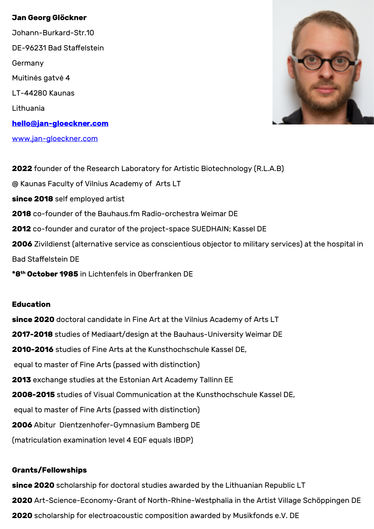## **Jan Georg Glöckner**

Johann-Burkard-Str.10 DE-96231 Bad Staffelstein Germany Muitinės gatvė 4 LT-44280 Kaunas Lithuania **[hello@jan-gloeckner.com](mailto:hello@jan-gloeckner.com)** [www.jan-gloeckner.com](https://jan-gloeckner.com)



**2022** founder of the Research Laboratory for Artistic Biotechnology (R.L.A.B) @ Kaunas Faculty of Vilnius Academy of Arts LT **since 2018** self employed artist **2018** co-founder of the Bauhaus.fm Radio-orchestra Weimar DE **2012** co-founder and curator of the project-space SUEDHAIN; Kassel DE **2006** Zivildienst (alternative service as conscientious objector to military services) at the hospital in Bad Staffelstein DE **\*8th October 1985** in Lichtenfels in Oberfranken DE

# **Education**

**since 2020** doctoral candidate in Fine Art at the Vilnius Academy of Arts LT **2017-2018** studies of Mediaart/design at the Bauhaus-University Weimar DE **2010-2016** studies of Fine Arts at the Kunsthochschule Kassel DE, equal to master of Fine Arts (passed with distinction) **2013** exchange studies at the Estonian Art Academy Tallinn EE **2008-2015** studies of Visual Communication at the Kunsthochschule Kassel DE, equal to master of Fine Arts (passed with distinction) **2006** Abitur Dientzenhofer-Gymnasium Bamberg DE (matriculation examination level 4 EQF equals IBDP)

# **Grants/Fellowships**

**since 2020** scholarship for doctoral studies awarded by the Lithuanian Republic LT **2020** Art-Science-Economy-Grant of North-Rhine-Westphalia in the Artist Village Schöppingen DE **2020** scholarship for electroacoustic composition awarded by Musikfonds e.V. DE